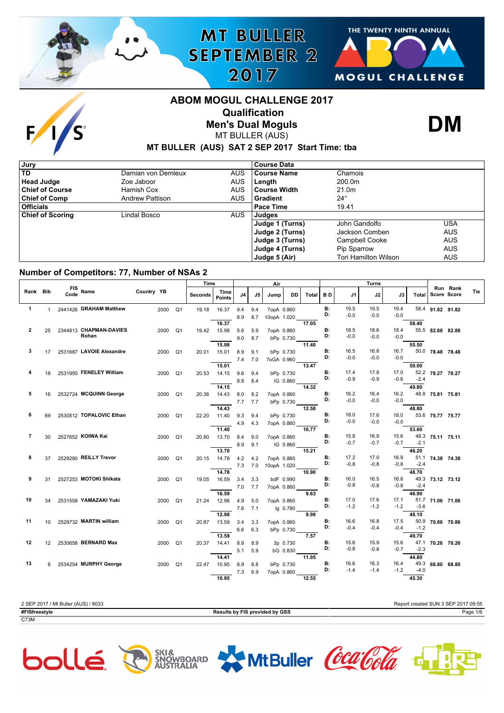

# THE TWENTY NINTH ANNUAL **SEPTEMBER 2** MOGUL CHALLENGE

# **ABOM MOGUL CHALLENGE 2017 Qualification**



**MT BULLER** 

2017

**Men's Dual Moguls** MT BULLER (AUS)



### **MT BULLER (AUS) SAT 2 SEP 2017 Start Time: tba**

| Jury                    |                        |            | <b>Course Data</b> |                             |            |
|-------------------------|------------------------|------------|--------------------|-----------------------------|------------|
| <b>TD</b>               | Damian von Demleux     | AUS.       | <b>Course Name</b> | Chamois                     |            |
| <b>Head Judge</b>       | Zoe Jaboor             | <b>AUS</b> | Length             | 200.0m                      |            |
| <b>Chief of Course</b>  | Hamish Cox             | <b>AUS</b> | l Course Width     | 21.0m                       |            |
| <b>Chief of Comp</b>    | <b>Andrew Pattison</b> | <b>AUS</b> | l Gradient         | $24^{\circ}$                |            |
| <b>Officials</b>        |                        |            | Pace Time          | 19.41                       |            |
| <b>Chief of Scoring</b> | Lindal Bosco           | AUS.       | Judges             |                             |            |
|                         |                        |            | Judge 1 (Turns)    | John Gandolfo               | USA        |
|                         |                        |            | Judge 2 (Turns)    | Jackson Comben              | <b>AUS</b> |
|                         |                        |            | Judge 3 (Turns)    | Campbell Cooke              | <b>AUS</b> |
|                         |                        |            | Judge 4 (Turns)    | Pip Sparrow                 | <b>AUS</b> |
|                         |                        |            | Judge 5 (Air)      | <b>Tori Hamilton Wilson</b> | <b>AUS</b> |

#### **Number of Competitors: 77, Number of NSAs 2**

|                |    |                  |                           |                   | Time    |                       |             |     | Air         |           |            | Turns           |                |                |                |        |                  |                                |     |
|----------------|----|------------------|---------------------------|-------------------|---------|-----------------------|-------------|-----|-------------|-----------|------------|-----------------|----------------|----------------|----------------|--------|------------------|--------------------------------|-----|
| Rank Bib       |    | FIS Name<br>Code |                           | <b>Country YB</b> | Seconds | Time<br><b>Points</b> | J4          | J5  | Jump        | DD.       | Total   BD |                 | J1             | J2             | J3             | Total  |                  | Run Rank<br><b>Score Score</b> | Tie |
| $\mathbf{1}$   | 1  |                  | 2441426 GRAHAM Matthew    | 2000 Q1           | 19.18   | 16.37                 | 9.4         | 9.4 | 7opA 0.860  |           |            | <b>B:</b>       | 19.5           | 19.5           | 19.4           |        | 58.4 91.82 91.82 |                                |     |
|                |    |                  |                           |                   |         |                       | 8.9         | 8.7 | 10opA 1.020 |           |            | D:              | $-0.0$         | $-0.0$         | $-0.0$         |        |                  |                                |     |
|                |    |                  |                           |                   |         | 16.37                 |             |     |             |           | 17.05      |                 |                |                |                | 58.40  |                  |                                |     |
| $\overline{2}$ | 25 |                  | 2344813 CHAPMAN-DAVIES    | 2000 Q1           | 19.42   | 15.98                 | 5.6         | 5.9 | 7opA 0.860  |           |            | <b>B:</b>       | 18.5           | 18.6           | 18.4           |        | 55.5 82.88 82.88 |                                |     |
|                |    |                  | Rohan                     |                   |         |                       | 9.0         | 8.7 |             | bPp 0.730 |            | D:              | $-0.0$         | $-0.0$         | $-0.0$         |        |                  |                                |     |
|                |    |                  |                           |                   |         | 15.98                 |             |     |             | 11.40     |            |                 |                |                |                | 55.50  |                  |                                |     |
| 3              | 17 |                  | 2531687 LAVOIE Alexandre  | 2000 Q1           |         | 20.01 15.01           | 8.9         | 9.1 |             | bPp 0.730 |            | <b>B:</b><br>D: | 16.5           | 16.8           | 16.7           |        | 50.0 78.48 78.48 |                                |     |
|                |    |                  |                           |                   |         |                       | $7.4$ $7.0$ |     | 7oGA 0.960  |           |            |                 | $-0.0$         | $-0.0$         | $-0.0$         |        |                  |                                |     |
|                |    |                  |                           |                   |         | 15.01                 |             |     |             |           | 13.47      | <b>B:</b>       | 17.4           | 17.8           | 17.0           | 50.00  |                  |                                |     |
|                | 18 |                  | 2531950 FENELEY William   | 2000 Q1           |         | 20.53 14.15           | $9.6$ $9.4$ |     |             | bPp 0.730 |            | D:              | $-0.9$         | $-0.9$         | $-0.6$         | $-2.4$ | 52.2 78.27 78.27 |                                |     |
|                |    |                  |                           |                   |         | 14.15                 | 8.8         | 8.4 |             | IG 0.860  | 14.32      |                 |                |                |                | 49.80  |                  |                                |     |
| 5              | 16 |                  | 2532724 MCQUINN George    | 2000 Q1           | 20.36   | 14.43                 | 8.0         | 8.2 | 7opA 0.860  |           |            | В:              | 16.2           | 16.4           | 16.2           |        | 48.8 75.81 75.81 |                                |     |
|                |    |                  |                           |                   |         |                       | $7.7$ $7.7$ |     |             | bPp 0.730 |            | D:              | $-0.0$         | $-0.0$         | $-0.0$         |        |                  |                                |     |
|                |    |                  |                           |                   |         | 14.43                 |             |     |             |           | 12.58      |                 |                |                |                | 48.80  |                  |                                |     |
| 6              | 69 |                  | 2530512 TOPALOVIC Ethan   | 2000 Q1           | 22.20   | 11.40                 | 9.3         | 9.4 |             | bPp 0.730 |            | В:              | 18.0           | 17.6           | 18.0           |        | 53.6 75.77 75.77 |                                |     |
|                |    |                  |                           |                   |         |                       | 4.9         | 4.3 | 7opA 0.860  |           |            | D:              | $-0.0$         | $-0.0$         | $-0.0$         |        |                  |                                |     |
|                |    |                  |                           |                   |         | 11.40                 |             |     |             |           | 10.77      |                 |                |                |                | 53.60  |                  |                                |     |
| 7              | 30 |                  | 2527652 KOIWA Kai         | 2000 Q1           | 20.80   | 13.70                 | 8.4         | 9.0 | 7opA 0.860  |           |            | <b>B:</b><br>D: | 15.8           | 16.9           | 15.6           |        | 48.3 75.11 75.11 |                                |     |
|                |    |                  |                           |                   |         |                       | 8.9         | 9.1 |             | IG 0.860  |            |                 | $-0.7$         | $-0.7$         | $-0.7$         | $-2.1$ |                  |                                |     |
|                |    |                  |                           |                   |         | 13.70                 |             |     |             |           | 15.21      |                 |                |                |                | 46.20  |                  |                                |     |
| 8              | 37 |                  | 2529280 REILLY Trevor     | 2000 Q1           | 20.15   | 14.78                 | 4.2         | 4.2 | 7opA 0.860  |           |            | <b>B:</b><br>D: | 17.2<br>$-0.8$ | 17.0<br>$-0.8$ | 16.9<br>$-0.8$ | $-2.4$ | 51.1 74.38 74.38 |                                |     |
|                |    |                  |                           |                   |         | 14.78                 | $7.3$ $7.0$ |     | 10opA 1.020 |           | 10.90      |                 |                |                |                | 48.70  |                  |                                |     |
| 9              | 31 |                  | 2527253 MOTOKI Shikata    | 2000 Q1           | 19.05   | 16.59                 | 3.4         | 3.3 |             | bdF 0.990 |            | В:              | 16.0           | 16.5           | 16.8           |        | 49.3 73.12 73.12 |                                |     |
|                |    |                  |                           |                   |         |                       | 7.0         | 7.7 | 7opA 0.860  |           |            | D:              | $-0.8$         | $-0.8$         | $-0.8$         | $-2.4$ |                  |                                |     |
|                |    |                  |                           |                   |         | 16.59                 |             |     |             |           | 9.63       |                 |                |                |                | 46.90  |                  |                                |     |
| 10             | 34 |                  | 2531558 YAMAZAKI Yuki     | 2000 Q1           | 21.24   | 12.98                 | 4.9         | 5.0 | 7opA 0.860  |           |            | <b>B:</b>       | 17.0           | 17.6           | 17.1           |        | 51.7 71.06 71.06 |                                |     |
|                |    |                  |                           |                   |         |                       | 7.6         | 7.1 |             | lg 0.780  |            | D:              | $-1.2$         | $-1.2$         | $-1.2$         | $-3.6$ |                  |                                |     |
|                |    |                  |                           |                   |         | 12.98                 |             |     |             |           | 9.98       |                 |                |                |                | 48.10  |                  |                                |     |
| 11             |    |                  | 10 2529732 MARTIN william | 2000 Q1           | 20.87   | 13.59                 | 3.4         | 3.3 | 7opA 0.860  |           |            | <b>B:</b>       | 16.6           | 16.8           | 17.5           |        | 50.9 70.86 70.86 |                                |     |
|                |    |                  |                           |                   |         |                       | 6.6 6.3     |     |             | bPp 0.730 |            | D:              | $-0.4$         | $-0.4$         | $-0.4$         | $-1.2$ |                  |                                |     |
|                |    |                  |                           |                   |         | 13.59                 |             |     |             |           | 7.57       |                 |                |                |                | 49.70  |                  |                                |     |
| 12             | 12 |                  | 2530658 BERNARD Max       | 2000 Q1           |         | 20.37 14.41           | 8.9         | 8.9 |             | 3p 0.730  |            | В:<br>D:        | 15.6<br>$-0.8$ | 15.9           | 15.6           |        | 47.1 70.26 70.26 |                                |     |
|                |    |                  |                           |                   |         |                       | 5.1         | 5.9 |             | bG 0.830  |            |                 |                | $-0.8$         | $-0.7$         | $-2.3$ |                  |                                |     |
| 13             |    |                  | 8 2534254 MURPHY George   |                   |         | 14.41                 |             |     |             |           | 11.05      | <b>B:</b>       | 16.6           | 16.3           | 16.4           | 44.80  | 49.3 68.80 68.80 |                                |     |
|                |    |                  |                           | 2000 Q1           | 22.47   | 10.95                 | 8.9         | 8.8 |             | bPp 0.730 |            | D:              | $-1.4$         | $-1.4$         | $-1.2$         | $-4.0$ |                  |                                |     |
|                |    |                  |                           |                   |         | 10.95                 | 7.3         | 6.9 | 7opA 0.860  |           | 12.55      |                 |                |                |                | 45.30  |                  |                                |     |
|                |    |                  |                           |                   |         |                       |             |     |             |           |            |                 |                |                |                |        |                  |                                |     |

| 2 SEP 2017 / Mt Buller (AUS) / 8033 |                                | Report created SUN 3 SEP 2017 09:55 |
|-------------------------------------|--------------------------------|-------------------------------------|
| #FISfreestvle                       | Results by FIS provided by GSS | Page 1/6                            |
| C73M                                |                                |                                     |









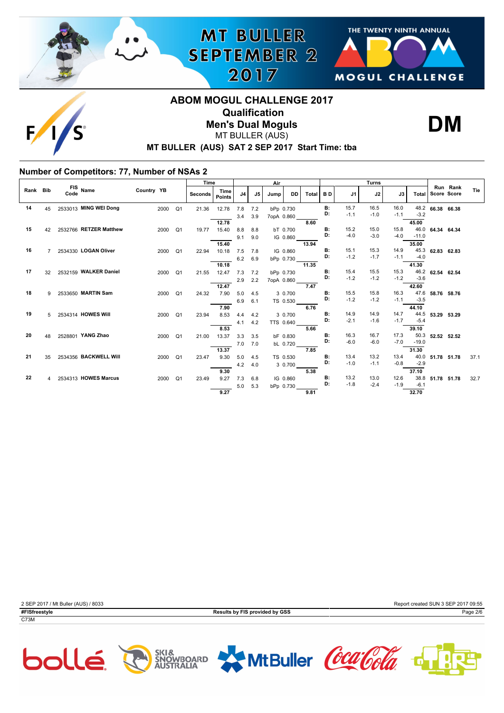



**DM**

# **MT BULLER (AUS) SAT 2 SEP 2017 Start Time: tba ABOM MOGUL CHALLENGE 2017 Qualification Men's Dual Moguls** MT BULLER (AUS)

**MT BULLER** 

**SEPTEMBER 2** 

2017

### **Number of Competitors: 77, Number of NSAs 2**

|          |    |                        |            |                        | Time           |                       | Air |     | <b>Turns</b> |            |       |                 |                |                |        |                |                  |          |      |
|----------|----|------------------------|------------|------------------------|----------------|-----------------------|-----|-----|--------------|------------|-------|-----------------|----------------|----------------|--------|----------------|------------------|----------|------|
| Rank Bib |    | FIS Name               | Country YB |                        | <b>Seconds</b> | Time<br><b>Points</b> | J4  | J5  | Jump         | DD.        | Total | <b>BD</b>       | J1             | J2             | J3     | Total          | Score Score      | Run Rank | Tie  |
| 14       | 45 | 2533013 MING WEI Dong  |            | 2000<br>Q <sub>1</sub> | 21.36          | 12.78                 | 7.8 | 7.2 | bPp 0.730    |            |       | <b>B:</b>       | 15.7           | 16.5           | 16.0   |                | 48.2 66.38 66.38 |          |      |
|          |    |                        |            |                        |                |                       | 3.4 | 3.9 | 7opA 0.860   |            |       | D:              | $-1.1$         | $-1.0$         | $-1.1$ | $-3.2$         |                  |          |      |
|          |    |                        |            |                        |                | 12.78                 |     |     |              |            | 8.60  |                 |                |                |        | 45.00          |                  |          |      |
| 15       | 42 | 2532766 RETZER Matthew |            | 2000<br>Q <sub>1</sub> | 19.77          | 15.40                 | 8.8 | 8.8 |              | bT 0.700   |       | B:<br>D:        | 15.2           | 15.0           | 15.8   | 46.0           | 64.34 64.34      |          |      |
|          |    |                        |            |                        |                |                       | 9.1 | 9.0 |              | IG 0.860   |       |                 | $-4.0$         | $-3.0$         | $-4.0$ | $-11.0$        |                  |          |      |
|          |    |                        |            |                        |                | 15.40                 |     |     |              |            | 13.94 |                 |                |                | 14.9   | 35.00          |                  |          |      |
| 16       |    | 7 2534330 LOGAN Oliver |            | 2000<br>Q1             | 22.94          | 10.18                 | 7.5 | 7.8 |              | IG 0.860   |       | <b>B:</b><br>D: | 15.1<br>$-1.2$ | 15.3<br>$-1.7$ | $-1.1$ | 45.3<br>$-4.0$ | 62.83            | 62.83    |      |
|          |    |                        |            |                        |                | 10.18                 | 6.2 | 6.9 |              | bPp 0.730  | 11.35 |                 |                |                |        | 41.30          |                  |          |      |
| 17       | 32 | 2532159 WALKER Daniel  |            | 2000<br>Q <sub>1</sub> | 21.55          | 12.47                 | 7.3 | 7.2 | bPp 0.730    |            |       | <b>B:</b>       | 15.4           | 15.5           | 15.3   | 46.2           | 62.54            | 62.54    |      |
|          |    |                        |            |                        |                |                       | 2.9 | 2.2 |              | 7opA 0.860 |       | D:              | $-1.2$         | $-1.2$         | $-1.2$ | $-3.6$         |                  |          |      |
|          |    |                        |            |                        |                | 12.47                 |     |     |              |            | 7.47  |                 |                |                |        | 42.60          |                  |          |      |
| 18       |    | 9 2533650 MARTIN Sam   |            | 2000<br>Q <sub>1</sub> | 24.32          | 7.90                  | 5.0 | 4.5 |              | 3 0.700    |       | B:              | 15.5           | 15.8           | 16.3   | 47.6           | 58.76 58.76      |          |      |
|          |    |                        |            |                        |                |                       | 6.9 | 6.1 |              | TS 0.530   |       | D:              | $-1.2$         | $-1.2$         | $-1.1$ | $-3.5$         |                  |          |      |
|          |    |                        |            |                        |                | 7.90                  |     |     |              |            | 6.76  |                 |                |                |        | 44.10          |                  |          |      |
| 19       | 5  | 2534314 HOWES Will     |            | 2000<br>Q <sub>1</sub> | 23.94          | 8.53                  | 4.4 | 4.2 |              | 3 0.700    |       | <b>B:</b><br>D: | 14.9           | 14.9           | 14.7   | 44.5           | 53.29            | 53.29    |      |
|          |    |                        |            |                        |                |                       | 4.1 | 4.2 |              | TTS 0.640  |       |                 | $-2.1$         | $-1.6$         | $-1.7$ | $-5.4$         |                  |          |      |
| 20       | 48 | 2528801 YANG Zhao      |            |                        |                | 8.53                  |     |     |              |            | 5.66  | <b>B:</b>       | 16.3           | 16.7           | 17.3   | 39.10<br>50.3  |                  |          |      |
|          |    |                        |            | 2000<br>Q1             | 21.00          | 13.37                 | 3.3 | 3.5 |              | bF 0.830   |       | D:              | $-6.0$         | $-6.0$         | $-7.0$ | $-19.0$        | 52.52 52.52      |          |      |
|          |    |                        |            |                        |                | 13.37                 | 7.0 | 7.0 |              | bL 0.720   | 7.85  |                 |                |                |        | 31.30          |                  |          |      |
| 21       | 35 | 2534356 BACKWELL Will  |            | 2000<br>Q <sub>1</sub> | 23.47          | 9.30                  | 5.0 | 4.5 |              | TS 0.530   |       | <b>B:</b>       | 13.4           | 13.2           | 13.4   | 40.0           | 51.78 51.78      |          | 37.1 |
|          |    |                        |            |                        |                |                       | 4.2 | 4.0 |              | 30.700     |       | D:              | $-1.0$         | $-1.1$         | $-0.8$ | $-2.9$         |                  |          |      |
|          |    |                        |            |                        |                | 9.30                  |     |     |              |            | 5.38  |                 |                |                |        | 37.10          |                  |          |      |
| 22       |    | 4 2534313 HOWES Marcus |            | 2000<br>Q <sub>1</sub> | 23.49          | 9.27                  | 7.3 | 6.8 |              | IG 0.860   |       | B:              | 13.2           | 13.0           | 12.6   | 38.8           | 51.78 51.78      |          | 32.7 |
|          |    |                        |            |                        |                |                       | 5.0 | 5.3 | bPp 0.730    |            |       | D:              | $-1.8$         | $-2.4$         | $-1.9$ | $-6.1$         |                  |          |      |
|          |    |                        |            |                        |                | 9.27                  |     |     |              |            | 9.81  |                 |                |                |        | 32.70          |                  |          |      |









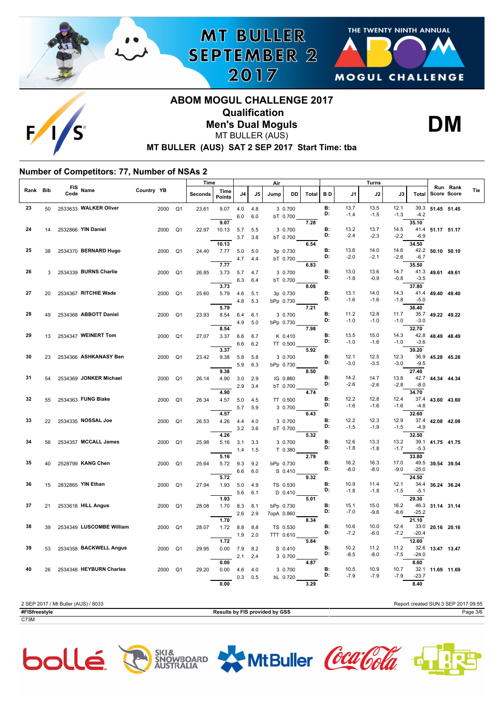





## **MT BULLER (AUS) SAT 2 SEP 2017 Start Time: tba ABOM MOGUL CHALLENGE 2017 Qualification Men's Dual Moguls** MT BULLER (AUS)

**MT BULLER** 

**SEPTEMBER 2** 

2017



#### **Number of Competitors: 77, Number of NSAs 2**

|          |    |             |                          |            |                | Time    |                |            |            | Air        |                       |       | Turns           |                |                |                |                          |                  |                                |
|----------|----|-------------|--------------------------|------------|----------------|---------|----------------|------------|------------|------------|-----------------------|-------|-----------------|----------------|----------------|----------------|--------------------------|------------------|--------------------------------|
| Rank Bib |    | FIS<br>Code | Name                     | Country YB |                | Seconds | Time<br>Points | J4         | J5         | Jump       | DD                    | Total | BD              | J1             | J2             | J3             | <b>Total</b>             |                  | Run Rank<br>Tie<br>Score Score |
| 23       | 50 |             | 2533633 WALKER Oliver    | 2000       | Q <sub>1</sub> | 23.61   | 9.07           | 4.0<br>6.0 | 4.8<br>6.0 |            | 3 0.700<br>bT 0.700   |       | <b>B:</b><br>D: | 13.7<br>$-1.4$ | 13.5<br>$-1.5$ | 12.1<br>$-1.3$ | 39.3<br>$-4.2$           | 51.45 51.45      |                                |
| 24       | 14 |             | 2532866 YIN Daniel       | 2000       | Q <sub>1</sub> | 22.97   | 9.07<br>10.13  | 5.7        | 5.5        |            | 3 0.700               | 7.28  | <b>B:</b><br>D: | 13.2           | 13.7           | 14.5           | 35.10                    | 41.4 51.17 51.17 |                                |
| 25       |    |             | 2534370 BERNARD Hugo     |            |                |         | 10.13          | 3.7        | 3.8        |            | bT 0.700              | 6.54  | B:              | $-2.4$<br>13.6 | $-2.3$<br>14.0 | $-2.2$<br>14.6 | $-6.9$<br>34.50          |                  |                                |
|          | 38 |             |                          | 2000       | Q <sub>1</sub> | 24.40   | 7.77<br>7.77   | 5.0<br>4.7 | 5.0<br>4.4 |            | 3p 0.730<br>bT 0.700  | 6.83  | D:              | $-2.0$         | $-2.1$         | $-2.6$         | $-6.7$<br>35.50          | 42.2 50.10 50.10 |                                |
| 26       | 3  |             | 2534339 BURNS Charlie    | 2000       | Q1             | 26.85   | 3.73           | 5.7<br>6.3 | 4.7<br>6.4 |            | 3 0.700<br>bT 0.700   |       | B:<br>D:        | 13.0<br>$-1.8$ | 13.6<br>$-0.9$ | 14.7<br>$-0.8$ | 41.3<br>$-3.5$           | 49.61 49.61      |                                |
| 27       | 20 |             | 2534367 RITCHIE Wade     | 2000       | Q <sub>1</sub> | 25.60   | 3.73<br>5.79   | 4.6        | 5.1        |            | 3p 0.730              | 8.08  | <b>B:</b><br>D: | 13.1<br>$-1.6$ | 14.0<br>$-1.6$ | 14.3<br>-1.8   | 37.80<br>41.4<br>$-5.0$  | 49.40 49.40      |                                |
| 28       | 49 |             | 2534368 ABBOTT Daniel    | 2000       | Q1             | 23.93   | 5.79<br>8.54   | 4.8<br>6.4 | 5.3<br>6.1 |            | bPp 0.730<br>3 0.700  | 7.21  | B:              | 11.2           | 12.8           | 11.7           | 36.40<br>35.7            | 49.22 49.22      |                                |
|          |    |             |                          |            |                |         | 8.54           | 4.9        | 5.0        |            | bPp 0.730             | 7.98  | D:              | $-1.0$         | $-1.0$         | $-1.0$         | $-3.0$<br>32.70          |                  |                                |
| 29       | 13 |             | 2534347 WEINERT Tom      | 2000       | Q1             | 27.07   | 3.37<br>3.37   | 6.6<br>6.6 | 6.7<br>6.2 |            | K 0.410<br>TT 0.500   | 5.92  | B:<br>D:        | 13.5<br>$-1.0$ | 15.0<br>$-1.6$ | 14.3<br>$-1.0$ | $-3.6$<br>39.20          | 42.8 48.49 48.49 |                                |
| 30       | 23 |             | 2534366 ASHKANASY Ben    | 2000       | Q <sub>1</sub> | 23.42   | 9.38           | 5.8<br>5.9 | 5.8<br>6.3 |            | 3 0.700<br>bPp 0.730  |       | B:<br>D:        | 12.1<br>$-3.0$ | 12.5<br>$-3.5$ | 12.3<br>$-3.0$ | $-9.5$                   | 36.9 45.28 45.28 |                                |
| 31       | 54 |             | 2534369 JONKER Michael   | 2000       | Q <sub>1</sub> | 26.14   | 9.38<br>4.90   | 3.0        | 2.9        |            | IG 0.860              | 8.50  | B:<br>D:        | 14.2           | 14.7           | 13.8           | 27.40<br>42.7            | 44.34 44.34      |                                |
| 32       | 55 |             | 2534363 FUNG Blake       | 2000       | Q1             | 26.34   | 4.90<br>4.57   | 2.9<br>5.0 | 3.4<br>4.5 |            | bT 0.700<br>TT 0.500  | 4.74  | В:              | $-2.6$<br>12.2 | $-2.6$<br>12.8 | $-2.8$<br>12.4 | $-8.0$<br>34.70<br>37.4  | 43.60 43.60      |                                |
|          |    |             |                          |            |                |         | 4.57           | 5.7        | 5.9        |            | 3 0.700               | 6.43  | D:              | $-1.6$         | $-1.6$         | $-1.6$         | $-4.8$<br>32.60          |                  |                                |
| 33       | 22 |             | 2534335 NOSSAL Joe       | 2000       | Q <sub>1</sub> | 26.53   | 4.26           | 4.4<br>3.2 | 4.0<br>3.6 |            | 3 0.700<br>bT 0.700   |       | B:<br>D:        | 12.2<br>$-1.5$ | 12.3<br>$-1.9$ | 12.9<br>$-1.5$ | 37.4<br>$-4.9$           | 42.08 42.08      |                                |
| 34       | 56 |             | 2534357 MCCALL James     | 2000       | Q <sub>1</sub> | 25.98   | 4.26<br>5.16   | 3.1<br>1.4 | 3.3<br>1.5 |            | 3 0.700<br>T 0.380    | 5.32  | B:<br>D:        | 12.6<br>$-1.8$ | 13.3<br>$-1.8$ | 13.2<br>$-1.7$ | 32.50<br>39.1<br>$-5.3$  | 41.75 41.75      |                                |
| 35       | 40 |             | 2528799 KANG Chen        | 2000       | Q1             | 25.64   | 5.16<br>5.72   | 9.3        | 9.2        |            | bPp 0.730             | 2.79  | B:              | 16.2           | 16.3           | 17.0           | 33.80<br>49.5            | 39.54 39.54      |                                |
| 36       | 15 |             | 2832865 YIN Ethan        | 2000       | Q <sub>1</sub> | 27.94   | 5.72<br>1.93   | 6.6<br>5.0 | 6.0<br>4.9 |            | S 0.410<br>TS 0.530   | 9.32  | D:<br>B:        | $-8.0$<br>10.9 | $-8.0$<br>11.4 | $-9.0$<br>12.1 | $-25.0$<br>24.50<br>34.4 | 36.24 36.24      |                                |
|          |    |             |                          |            |                |         | 1.93           | 5.6        | 6.1        |            | D 0.410               | 5.01  | D:              | $-1.8$         | $-1.8$         | $-1.5$         | $-5.1$<br>29.30          |                  |                                |
| 37       | 21 |             | 2533618 HILL Angus       | 2000       | Q <sub>1</sub> | 28.08   | 1.70           | 8.3<br>2.6 | 8.1<br>2.9 | 7opA 0.860 | bPp 0.730             |       | B:<br>D:        | 15.1<br>$-7.0$ | 15.0<br>$-9.6$ | 16.2<br>$-8.6$ | 46.3<br>$-25.2$          | 31.14 31.14      |                                |
| 38       | 39 |             | 2534349 LUSCOMBE William | 2000       | Q <sub>1</sub> | 28.07   | 1.70<br>1.72   | 8.8<br>1.9 | 8.8<br>2.0 |            | TS 0.530<br>TTT 0.610 | 8.34  | В:<br>D:        | 10.6<br>$-7.2$ | 10.0<br>$-6.0$ | 12.4<br>$-7.2$ | 21.10<br>33.0<br>$-20.4$ | 20.16 20.16      |                                |
| 39       | 53 |             | 2534358 BACKWELL Angus   | 2000       | Q <sub>1</sub> | 29.95   | 1.72<br>0.00   | 7.9        | 8.2        |            | S 0.410               | 5.84  | В:              | 10.2           | 11.2           | 11.2           | 12.60                    | 32.6 13.47 13.47 |                                |
| 40       |    |             | 2534348 HEYBURN Charles  | 2000       | Q <sub>1</sub> | 29.20   | 0.00<br>0.00   | 2.1<br>4.6 | 2.4<br>4.0 |            | 3 0.700<br>3 0.700    | 4.87  | D:<br>B:        | $-8.5$<br>10.5 | $-8.0$<br>10.9 | $-7.5$<br>10.7 | $-24.0$<br>8.60<br>32.1  | 11.69 11.69      |                                |
|          | 26 |             |                          |            |                |         | 0.00           | 0.3        | 0.5        |            | bL 0.720              | 3.29  | D:              | $-7.9$         | $-7.9$         | $-7.9$         | $-23.7$<br>8.40          |                  |                                |

2 SEP 2017 / Mt Buller (AUS) / 8033 Report created SUN 3 SEP 2017 09:55 **#FISfreestyle Results by FIS provided by GSS** Page 3/6 C73M









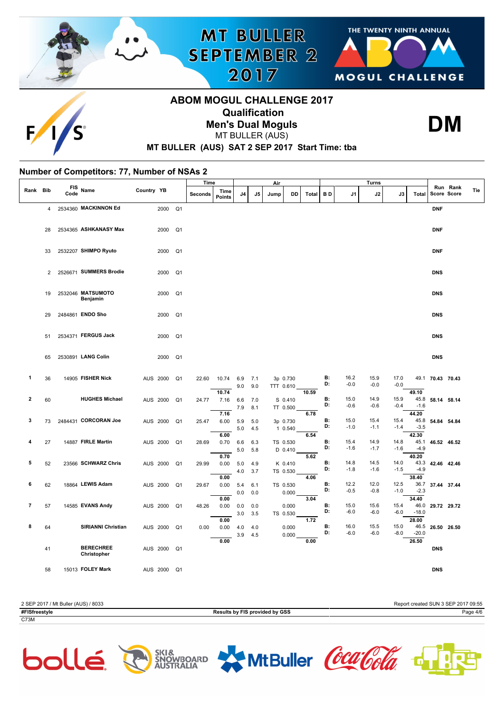



# **ABOM MOGUL CHALLENGE 2017 Qualification Men's Dual Moguls** MT BULLER (AUS)

**MT BULLER** 

**SEPTEMBER 2** 

2017



# **MT BULLER (AUS) SAT 2 SEP 2017 Start Time: tba**

#### **Number of Competitors: 77, Number of NSAs 2**

|                |                |                    |                                 |            |                | Time           |                       |                |            | Air  |                       |              |                 |                | <b>Turns</b>   |                |                                  |             |                         |     |
|----------------|----------------|--------------------|---------------------------------|------------|----------------|----------------|-----------------------|----------------|------------|------|-----------------------|--------------|-----------------|----------------|----------------|----------------|----------------------------------|-------------|-------------------------|-----|
| Rank Bib       |                | <b>FIS</b><br>Code | Name                            | Country YB |                | <b>Seconds</b> | Time<br><b>Points</b> | J <sub>4</sub> | J5         | Jump | DD                    | <b>Total</b> | B D             | J1             | J2             | J3             | <b>Total</b>                     |             | Run Rank<br>Score Score | Tie |
|                | $\overline{4}$ |                    | 2534360 MACKINNON Ed            | 2000       | Q <sub>1</sub> |                |                       |                |            |      |                       |              |                 |                |                |                |                                  | <b>DNF</b>  |                         |     |
|                | 28             |                    | 2534365 ASHKANASY Max           | 2000       | Q <sub>1</sub> |                |                       |                |            |      |                       |              |                 |                |                |                |                                  | <b>DNF</b>  |                         |     |
|                | 33             |                    | 2532207 SHIMPO Ryuto            | 2000       | Q <sub>1</sub> |                |                       |                |            |      |                       |              |                 |                |                |                |                                  | <b>DNF</b>  |                         |     |
|                | $\overline{2}$ |                    | 2526671 SUMMERS Brodie          | 2000       | Q <sub>1</sub> |                |                       |                |            |      |                       |              |                 |                |                |                |                                  | <b>DNS</b>  |                         |     |
|                | 19             |                    | 2532046 MATSUMOTO<br>Benjamin   | 2000       | Q <sub>1</sub> |                |                       |                |            |      |                       |              |                 |                |                |                |                                  | <b>DNS</b>  |                         |     |
|                | 29             |                    | 2484861 ENDO Sho                | 2000       | Q <sub>1</sub> |                |                       |                |            |      |                       |              |                 |                |                |                |                                  | <b>DNS</b>  |                         |     |
|                | 51             |                    | 2534371 FERGUS Jack             | 2000       | Q <sub>1</sub> |                |                       |                |            |      |                       |              |                 |                |                |                |                                  | <b>DNS</b>  |                         |     |
|                | 65             |                    | 2530891 LANG Colin              | 2000       | Q <sub>1</sub> |                |                       |                |            |      |                       |              |                 |                |                |                |                                  | <b>DNS</b>  |                         |     |
| 1              | 36             |                    | 14905 FISHER Nick               | AUS 2000   | Q <sub>1</sub> | 22.60          | 10.74                 | 6.9<br>9.0     | 7.1<br>9.0 |      | 3p 0.730<br>TTT 0.610 |              | B:<br>D:        | 16.2<br>$-0.0$ | 15.9<br>$-0.0$ | 17.0<br>$-0.0$ | 49.1                             | 70.43 70.43 |                         |     |
| 2              | 60             |                    | <b>HUGHES Michael</b>           | AUS 2000   | Q <sub>1</sub> | 24.77          | 10.74<br>7.16         | 6.6<br>7.9     | 7.0<br>8.1 |      | S 0.410<br>TT 0.500   | 10.59        | <b>B:</b><br>D: | 15.0<br>$-0.6$ | 14.9<br>$-0.6$ | 15.9<br>$-0.4$ | 49.10<br>45.8<br>$-1.6$          | 58.14 58.14 |                         |     |
| 3              | 73             |                    | 2484431 CORCORAN Joe            | AUS 2000   | Q <sub>1</sub> | 25.47          | 7.16<br>6.00          | 5.9<br>$5.0\,$ | 5.0<br>4.5 |      | 3p 0.730<br>1 0.540   | 6.78         | <b>B:</b><br>D: | 15.0<br>$-1.0$ | 15.4<br>$-1.1$ | 15.4<br>$-1.4$ | 44.20<br>45.8<br>$-3.5$          | 54.84 54.84 |                         |     |
| 4              | 27             |                    | 14887 FIRLE Martin              | AUS 2000   | Q <sub>1</sub> | 28.69          | 6.00<br>0.70<br>0.70  | 6.6<br>5.0     | 6.3<br>5.8 |      | TS 0.530<br>D 0.410   | 6.54<br>5.62 | B:<br>D:        | 15.4<br>$-1.6$ | 14.9<br>$-1.7$ | 14.8<br>$-1.6$ | 42.30<br>45.1<br>$-4.9$<br>40.20 | 46.52 46.52 |                         |     |
| 5              | 52             |                    | 23566 SCHWARZ Chris             | AUS 2000   | Q <sub>1</sub> | 29.99          | 0.00<br>0.00          | 5.0<br>4.0     | 4.9<br>3.7 |      | K 0.410<br>TS 0.530   | 4.06         | B:<br>D:        | 14.8<br>$-1.8$ | 14.5<br>$-1.6$ | 14.0<br>$-1.5$ | 43.3<br>$-4.9$<br>38.40          | 42.46 42.46 |                         |     |
| 6              | 62             |                    | 18864 LEWIS Adam                | AUS 2000   | Q <sub>1</sub> | 29.67          | 0.00<br>0.00          | 5.4<br>0.0     | 6.1<br>0.0 |      | TS 0.530<br>0.000     | 3.04         | B:<br>D:        | 12.2<br>$-0.5$ | 12.0<br>$-0.8$ | 12.5<br>$-1.0$ | 36.7<br>$-2.3$<br>34.40          | 37.44 37.44 |                         |     |
| $\overline{7}$ | 57             |                    | 14585 EVANS Andy                | AUS 2000   | Q <sub>1</sub> | 48.26          | 0.00<br>0.00          | 0.0<br>3.0     | 0.0<br>3.5 |      | 0.000<br>TS 0.530     |              | B:<br>D:        | 15.0<br>$-6.0$ | 15.6<br>$-6.0$ | 15.4<br>$-6.0$ | 46.0<br>$-18.0$                  | 29.72 29.72 |                         |     |
| 8              | 64             |                    | <b>SIRIANNI Christian</b>       | AUS 2000   | Q1             | 0.00           | 0.00                  | 4.0<br>3.9     | 4.0<br>4.5 |      | 0.000<br>0.000        | 1.72         | B:<br>D:        | 16.0<br>$-6.0$ | 15.5<br>$-6.0$ | 15.0<br>$-8.0$ | 28.00<br>46.5<br>$-20.0$         | 26.50 26.50 |                         |     |
|                | 41             |                    | <b>BERECHREE</b><br>Christopher | AUS 2000   | Q1             |                | 0.00                  |                |            |      |                       | 0.00         |                 |                |                |                | 26.50                            | <b>DNS</b>  |                         |     |
|                | 58             |                    | 15013 FOLEY Mark                | AUS 2000   | Q <sub>1</sub> |                |                       |                |            |      |                       |              |                 |                |                |                |                                  | <b>DNS</b>  |                         |     |





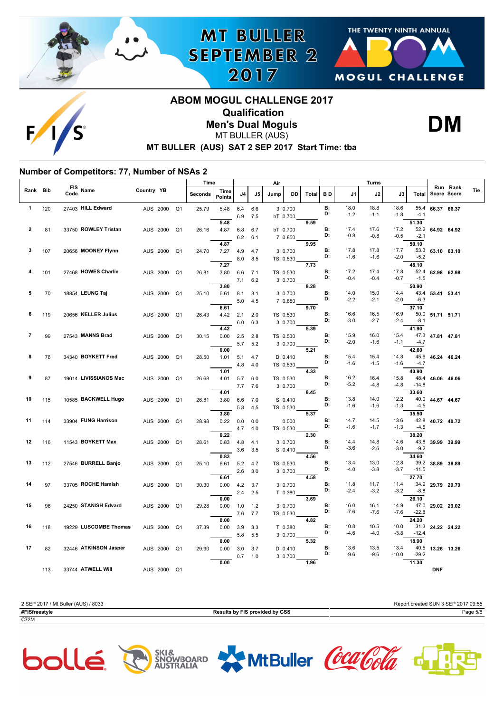



# **ABOM MOGUL CHALLENGE 2017 Qualification Men's Dual Moguls** MT BULLER (AUS)

**MT BULLER** 

**SEPTEMBER 2** 

2017



# **MT BULLER (AUS) SAT 2 SEP 2017 Start Time: tba**

### **Number of Competitors: 77, Number of NSAs 2**

|          |     |                            |                            | Time    |                       |            |            | Air  |                     |       | <b>Turns</b>    |                |                |                |                |                  |                                |
|----------|-----|----------------------------|----------------------------|---------|-----------------------|------------|------------|------|---------------------|-------|-----------------|----------------|----------------|----------------|----------------|------------------|--------------------------------|
| Rank Bib |     | <b>FIS</b><br>Name<br>Code | Country YB                 | Seconds | Time<br><b>Points</b> | J4         | J5         | Jump | DD                  | Total | <b>BD</b>       | J1             | J2             | J3             | Total          |                  | Run Rank<br>Tie<br>Score Score |
| 1        | 120 | 27403 HILL Edward          | Q <sub>1</sub><br>AUS 2000 | 25.79   | 5.48                  | 6.4<br>6.9 | 6.6<br>7.5 |      | 3 0.700<br>bT 0.700 |       | <b>B:</b><br>D: | 18.0<br>$-1.2$ | 18.8<br>$-1.1$ | 18.6<br>$-1.8$ | 55.4<br>$-4.1$ | 66.37 66.37      |                                |
|          |     |                            |                            |         | 5.48                  |            |            |      |                     | 9.59  |                 |                |                |                | 51.30          |                  |                                |
| 2        | 81  | 33750 ROWLEY Tristan       | Q <sub>1</sub><br>AUS 2000 | 26.16   | 4.87                  | 6.8        | 6.7        |      | bT 0.700            |       | <b>B:</b>       | 17.4           | 17.6           | 17.2           |                | 52.2 64.92 64.92 |                                |
|          |     |                            |                            |         |                       | 6.2        | 6.1        |      | 7 0.850             |       | D:              | $-0.8$         | $-0.8$         | $-0.5$         | $-2.1$         |                  |                                |
|          |     |                            |                            |         | 4.87                  |            |            |      |                     | 9.95  |                 |                |                |                | 50.10          |                  |                                |
| 3        | 107 | 20656 MOONEY Flynn         | AUS 2000<br>Q <sub>1</sub> | 24.70   | 7.27                  | 4.9        | 4.7        |      | 3 0.700             |       | <b>B:</b>       | 17.8           | 17.8           | 17.7           |                | 53.3 63.10 63.10 |                                |
|          |     |                            |                            |         |                       | 8.0        | 8.5        |      | TS 0.530            |       | D:              | $-1.6$         | $-1.6$         | $-2.0$         | $-5.2$         |                  |                                |
|          |     |                            |                            |         | 7.27                  |            |            |      |                     | 7.73  |                 |                |                |                | 48.10          |                  |                                |
| 4        | 101 | 27468 HOWES Charlie        | AUS 2000<br>Q <sub>1</sub> | 26.81   | 3.80                  | 6.6        | 7.1        |      | TS 0.530            |       | <b>B:</b><br>D: | 17.2           | 17.4           | 17.8           |                | 52.4 62.98 62.98 |                                |
|          |     |                            |                            |         |                       | 7.1        | 6.2        |      | 3 0.700             |       |                 | $-0.4$         | $-0.4$         | $-0.7$         | $-1.5$         |                  |                                |
|          |     |                            |                            |         | 3.80                  |            |            |      |                     | 8.28  |                 |                |                |                | 50.90          |                  |                                |
| 5        | 70  | 18854 LEUNG Taj            | AUS 2000<br>Q <sub>1</sub> | 25.10   | 6.61                  | 8.1        | 8.1        |      | 3 0.700             |       | B:<br>D:        | 14.0<br>$-2.2$ | 15.0           | 14.4           |                | 43.4 53.41 53.41 |                                |
|          |     |                            |                            |         |                       | 5.0        | 4.5        |      | 7 0.850             |       |                 |                | $-2.1$         | $-2.0$         | $-6.3$         |                  |                                |
|          |     |                            |                            |         | 6.61                  |            |            |      |                     | 9.70  |                 |                |                |                | 37.10          |                  |                                |
| 6        | 119 | 20656 KELLER Julius        | AUS 2000<br>Q <sub>1</sub> | 26.43   | 4.42                  | 2.1        | 2.0        |      | TS 0.530            |       | <b>B:</b><br>D: | 16.6<br>$-3.0$ | 16.5<br>$-2.7$ | 16.9<br>$-2.4$ | 50.0<br>$-8.1$ | 51.71 51.71      |                                |
|          |     |                            |                            |         | 4.42                  | 6.0        | 6.3        |      | 3 0.700             | 5.39  |                 |                |                |                | 41.90          |                  |                                |
| 7        | 99  | 27543 MANNS Brad           | Q <sub>1</sub><br>AUS 2000 | 30.15   | 0.00                  |            |            |      | TS 0.530            |       | <b>B:</b>       | 15.9           | 16.0           | 15.4           | 47.3           | 47.81 47.81      |                                |
|          |     |                            |                            |         |                       | 2.5        | 2.8        |      |                     |       | D:              | $-2.0$         | $-1.6$         | $-1.1$         | $-4.7$         |                  |                                |
|          |     |                            |                            |         | 0.00                  | 5.7        | 5.2        |      | 3 0.700             | 5.21  |                 |                |                |                | 42.60          |                  |                                |
| 8        | 76  | 34340 BOYKETT Fred         | AUS 2000<br>Q <sub>1</sub> | 28.50   | 1.01                  | 5.1        | 4.7        |      | D 0.410             |       | B:              | 15.4           | 15.4           | 14.8           | 45.6           | 46.24 46.24      |                                |
|          |     |                            |                            |         |                       | 4.8        | 4.0        |      | TS 0.530            |       | D:              | $-1.6$         | $-1.5$         | $-1.6$         | $-4.7$         |                  |                                |
|          |     |                            |                            |         | 1.01                  |            |            |      |                     | 4.33  |                 |                |                |                | 40.90          |                  |                                |
| 9        | 87  | 19014 LIVISSIANOS Mac      | AUS 2000<br>Q <sub>1</sub> | 26.68   | 4.01                  | 5.7        | 6.0        |      | TS 0.530            |       | <b>B:</b>       | 16.2           | 16.4           | 15.8           | 48.4           | 46.06 46.06      |                                |
|          |     |                            |                            |         |                       | 7.7        | 7.6        |      | 3 0.700             |       | D:              | $-5.2$         | $-4.8$         | -4.8           | $-14.8$        |                  |                                |
|          |     |                            |                            |         | 4.01                  |            |            |      |                     | 8.45  |                 |                |                |                | 33.60          |                  |                                |
| 10       | 115 | 10585 BACKWELL Hugo        | Q <sub>1</sub><br>AUS 2000 | 26.81   | 3.80                  | 6.6        | 7.0        |      | S 0.410             |       | <b>B:</b>       | 13.8           | 14.0           | 12.2           | 40.0           | 44.67 44.67      |                                |
|          |     |                            |                            |         |                       | 5.3        | 4.5        |      | TS 0.530            |       | D:              | $-1.6$         | $-1.6$         | $-1.3$         | $-4.5$         |                  |                                |
|          |     |                            |                            |         | 3.80                  |            |            |      |                     | 5.37  |                 |                |                |                | 35.50          |                  |                                |
| 11       | 114 | 33904 FUNG Harrison        | AUS 2000<br>Q <sub>1</sub> | 28.98   | 0.22                  | 0.0        | 0.0        |      | 0.000               |       | <b>B:</b>       | 14.7           | 14.5           | 13.6           | 42.8           | 40.72 40.72      |                                |
|          |     |                            |                            |         |                       | 4.7        | 4.0        |      | TS 0.530            |       | D:              | $-1.6$         | $-1.7$         | $-1.3$         | $-4.6$         |                  |                                |
|          |     |                            |                            |         | 0.22                  |            |            |      |                     | 2.30  |                 |                |                |                | 38.20          |                  |                                |
| 12       | 116 | 11543 BOYKETT Max          | AUS 2000<br>Q1             | 28.61   | 0.83                  | 4.8        | 4.1        |      | 3 0.700             |       | <b>B:</b>       | 14.4           | 14.8           | 14.6           | 43.8           | 39.99 39.99      |                                |
|          |     |                            |                            |         |                       | 3.6        | 3.5        |      | $S$ 0.410           |       | D:              | $-3.6$         | $-2.6$         | $-3.0$         | $-9.2$         |                  |                                |
|          |     |                            |                            |         | 0.83                  |            |            |      |                     | 4.56  |                 |                |                |                | 34.60          |                  |                                |
| 13       | 112 | 27546 BURRELL Banjo        | AUS 2000<br>Q <sub>1</sub> | 25.10   | 6.61                  | 5.2        | 4.7        |      | TS 0.530            |       | <b>B:</b><br>D: | 13.4           | 13.0           | 12.8           | 39.2           | 38.89 38.89      |                                |
|          |     |                            |                            |         |                       | 2.6        | 3.0        |      | 3 0.700             |       |                 | $-4.0$         | $-3.8$         | $-3.7$         | $-11.5$        |                  |                                |
| 14       |     | 33705 ROCHE Hamish         |                            |         | 6.61                  |            |            |      |                     | 4.58  | <b>B:</b>       | 11.8           | 11.7           | 11.4           | 27.70<br>34.9  |                  |                                |
|          | 97  |                            | AUS 2000<br>Q <sub>1</sub> | 30.30   | 0.00                  | 4.2        | 3.7        |      | 3 0.700             |       | D:              | $-2.4$         | $-3.2$         | $-3.2$         | $-8.8$         | 29.79 29.79      |                                |
|          |     |                            |                            |         | 0.00                  | 2.4        | 2.5        |      | T 0.380             | 3.69  |                 |                |                |                | 26.10          |                  |                                |
| 15       | 96  | 24250 STANISH Edvard       | AUS 2000<br>Q <sub>1</sub> | 29.28   | 0.00                  | 1.0        | 1.2        |      | 3 0.700             |       | <b>B:</b>       | 16.0           | 16.1           | 14.9           | 47.0           | 29.02 29.02      |                                |
|          |     |                            |                            |         |                       |            | 7.7        |      | TS 0.530            |       | D:              | $-7.6$         | $-7.6$         | $-7.6$         | $-22.8$        |                  |                                |
|          |     |                            |                            |         | 0.00                  | 7.6        |            |      |                     | 4.82  |                 |                |                |                | 24.20          |                  |                                |
| 16       | 118 | 19229 LUSCOMBE Thomas      | AUS 2000<br>Q <sub>1</sub> | 37.39   | 0.00                  | 3.9        | 3.3        |      | T 0.380             |       | <b>B:</b>       | 10.8           | 10.5           | 10.0           | 31.3           | 24.22 24.22      |                                |
|          |     |                            |                            |         |                       | 5.8        | 5.5        |      | 3 0.700             |       | D:              | $-4.6$         | $-4.0$         | $-3.8$         | $-12.4$        |                  |                                |
|          |     |                            |                            |         | 0.00                  |            |            |      |                     | 5.32  |                 |                |                |                | 18.90          |                  |                                |
| 17       | 82  | 32446 ATKINSON Jasper      | AUS 2000<br>Q1             | 29.90   | 0.00                  | 3.0        | 3.7        |      | $D$ 0.410           |       | <b>B:</b>       | 13.6           | 13.5           | 13.4           | 40.5           | 13.26 13.26      |                                |
|          |     |                            |                            |         |                       | 0.7        | 1.0        |      | 3 0.700             |       | D:              | $-9.6$         | $-9.6$         | $-10.0$        | $-29.2$        |                  |                                |
|          |     |                            |                            |         | 0.00                  |            |            |      |                     | 1.96  |                 |                |                |                | 11.30          |                  |                                |
|          | 113 | 33744 ATWELL Will          | AUS 2000<br>Q <sub>1</sub> |         |                       |            |            |      |                     |       |                 |                |                |                |                | <b>DNF</b>       |                                |



bollé & Elistradard MtBuller CoarGola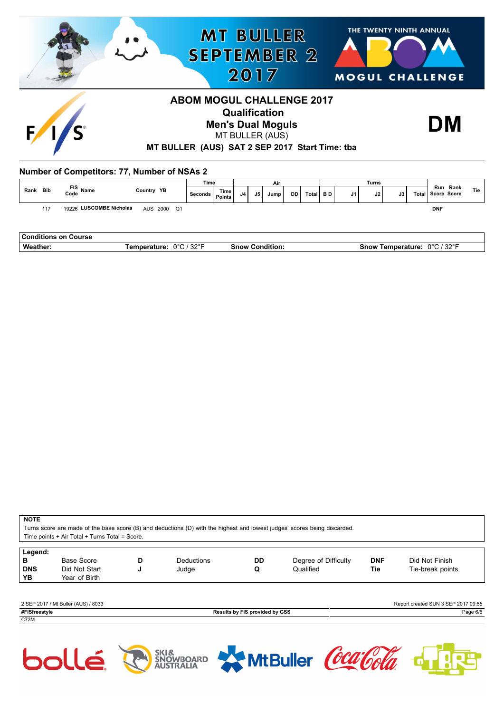

|      |     |                             |            |             | .       |                 |    |    | $\sim$ |    |         |      |    | -------- |     |                               |     |
|------|-----|-----------------------------|------------|-------------|---------|-----------------|----|----|--------|----|---------|------|----|----------|-----|-------------------------------|-----|
| Rank | Bib | FIS Name<br>Code Name       | Country YB |             | Seconds | Time,<br>Points | J4 | J5 | Jump   | DD | Total I | BD I | J1 | J2       | J3' | Run Rank<br>Total Score Score | Tie |
|      | 117 | 19226 LUSCOMBE Nicholas     |            | AUS 2000 Q1 |         |                 |    |    |        |    |         |      |    |          |     | <b>DNF</b>                    |     |
|      |     |                             |            |             |         |                 |    |    |        |    |         |      |    |          |     |                               |     |
|      |     | <b>Conditions on Course</b> |            |             |         |                 |    |    |        |    |         |      |    |          |     |                               |     |

| ___________________ |                                   |                   |                                        |
|---------------------|-----------------------------------|-------------------|----------------------------------------|
| We.<br>.            | ----<br>nno.<br>νZ<br>.<br>$\sim$ | .snow<br>∴∩n<br>. | 0000<br>∴now∙<br>. .<br>$\cdot$ .<br>. |
|                     |                                   |                   |                                        |

#### **NOTE**

Turns score are made of the base score (B) and deductions (D) with the highest and lowest judges' scores being discarded. Score.

| Time points + Air Total + Turns Total = S |
|-------------------------------------------|
|-------------------------------------------|

| Legend:<br>в<br><b>DNS</b><br>YΒ | Base Score<br>Did Not Start<br>Year of Birth | D<br>w | <b>Deductions</b><br>Judge | DD<br>Q | Degree of Difficulty<br>Qualified | <b>DNF</b><br>Tie | Did Not Finish<br>Tie-break points  |
|----------------------------------|----------------------------------------------|--------|----------------------------|---------|-----------------------------------|-------------------|-------------------------------------|
|                                  | 2 SEP 2017 / Mt Buller (AUS) / 8033          |        |                            |         |                                   |                   | Report created SUN 3 SEP 2017 09:55 |

**#FISfreestyle Results by FIS provided by GSS** Page 6/6 C73M

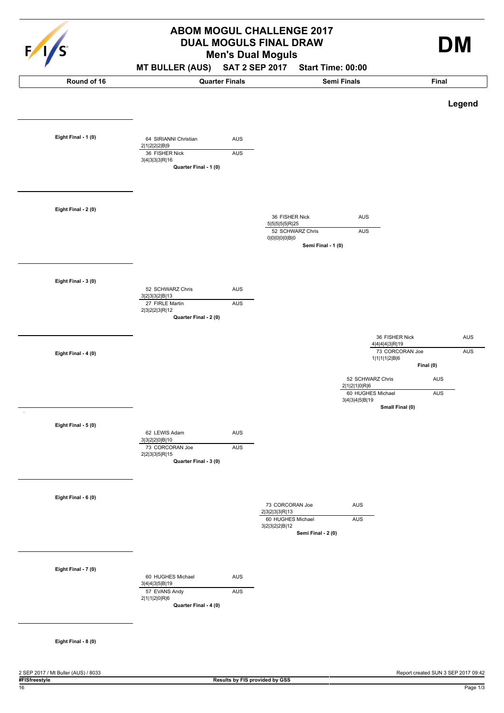

# **Men's Dual Moguls ABOM MOGUL CHALLENGE 2017 DUAL MOGULS FINAL DRAW DM**

### **MT BULLER (AUS) SAT 2 SEP 2017 Start Time: 00:00**

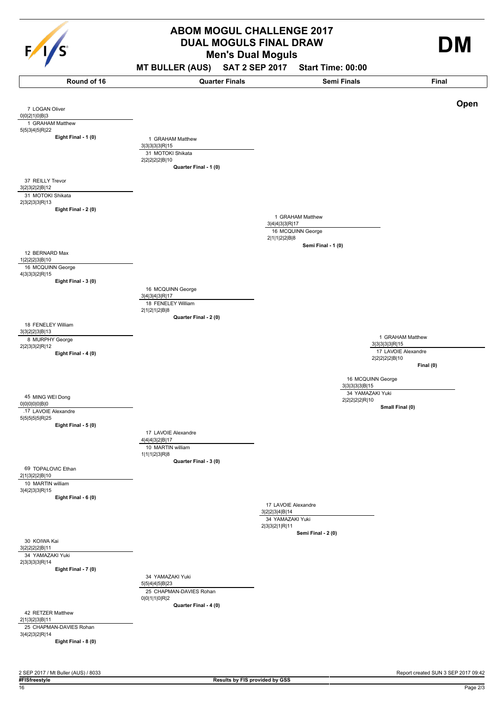

# **Men's Dual Moguls ABOM MOGUL CHALLENGE 2017 DUAL MOGULS FINAL DRAW**

**MT BULLER (AUS) SAT 2 SEP 2017 Start Time: 00:00**

4|4|4|3|2|B|17 **Eight Final - 1 (0)** 7 LOGAN Oliver 0|0|2|1|0|B|3 1 GRAHAM Matthew 5|5|3|4|5|R|22 **Eight Final - 2 (0)** 37 REILLY Trevor 3|2|3|2|2|B|12 31 MOTOKI Shikata 2|3|2|3|3|R|13 **Eight Final - 3 (0)** 12 BERNARD Max 1|2|2|2|3|B|10 16 MCQUINN George 4|3|3|3|2|R|15 **Eight Final - 4 (0)** 18 FENELEY William 3|3|2|2|3|B|13 8 MURPHY George 2|2|3|3|2|R|12 **Eight Final - 5 (0)** 45 MING WEI Dong 0|0|0|0|0|B|0 17 LAVOIE Alexandre 5|5|5|5|5|R|25 **Eight Final - 6 (0)** 69 TOPALOVIC Ethan 2|1|3|2|2|B|10 10 MARTIN william 3|4|2|3|3|R|15 **Eight Final - 7 (0)** 30 KOIWA Kai 3|2|2|2|2|B|11 34 YAMAZAKI Yuki 2|3|3|3|3|R|14 **Eight Final - 8 (0)** 42 RETZER Matthew 2|1|3|2|3|B|11 25 CHAPMAN-DAVIES Rohan 3|4|2|3|2|R|14 **Quarter Final - 1 (0)** 1 GRAHAM Matthew 3|3|3|3|3|R|15 31 MOTOKI Shikata 2|2|2|2|2|B|10 **Quarter Final - 2 (0)** 16 MCQUINN George 3|4|3|4|3|R|17 18 FENELEY William 2|1|2|1|2|B|8 **Quarter Final - 3 (0)** 17 LAVOIE Alexandre 10 MARTIN william 1|1|1|2|3|R|8 **Quarter Final - 4 (0)** 34 YAMAZAKI Yuki 5|5|4|4|5|B|23 25 CHAPMAN-DAVIES Rohan 0|0|1|1|0|R|2 3|4|4|3|3|R|17 **Semi Final - 1 (0)** 1 GRAHAM Matthew 16 MCQUINN George 2|1|1|2|2|B|8 3|2|2|3|4|B|14 **Semi Final - 2 (0)** 17 LAVOIE Alexandre 34 YAMAZAKI Yuki 2|3|3|2|1|R|11 3|3|3|3|3|R|15 **Final (0)** 1 GRAHAM Matthew 17 LAVOIE Alexandre 2|2|2|2|2|B|10 3|3|3|3|3|B|15 **Small Final (0)** 16 MCQUINN George 34 YAMAZAKI Yuki 2|2|2|2|2|R|10 **Round of 16 Quarter Finals Semi Finals Final Open**